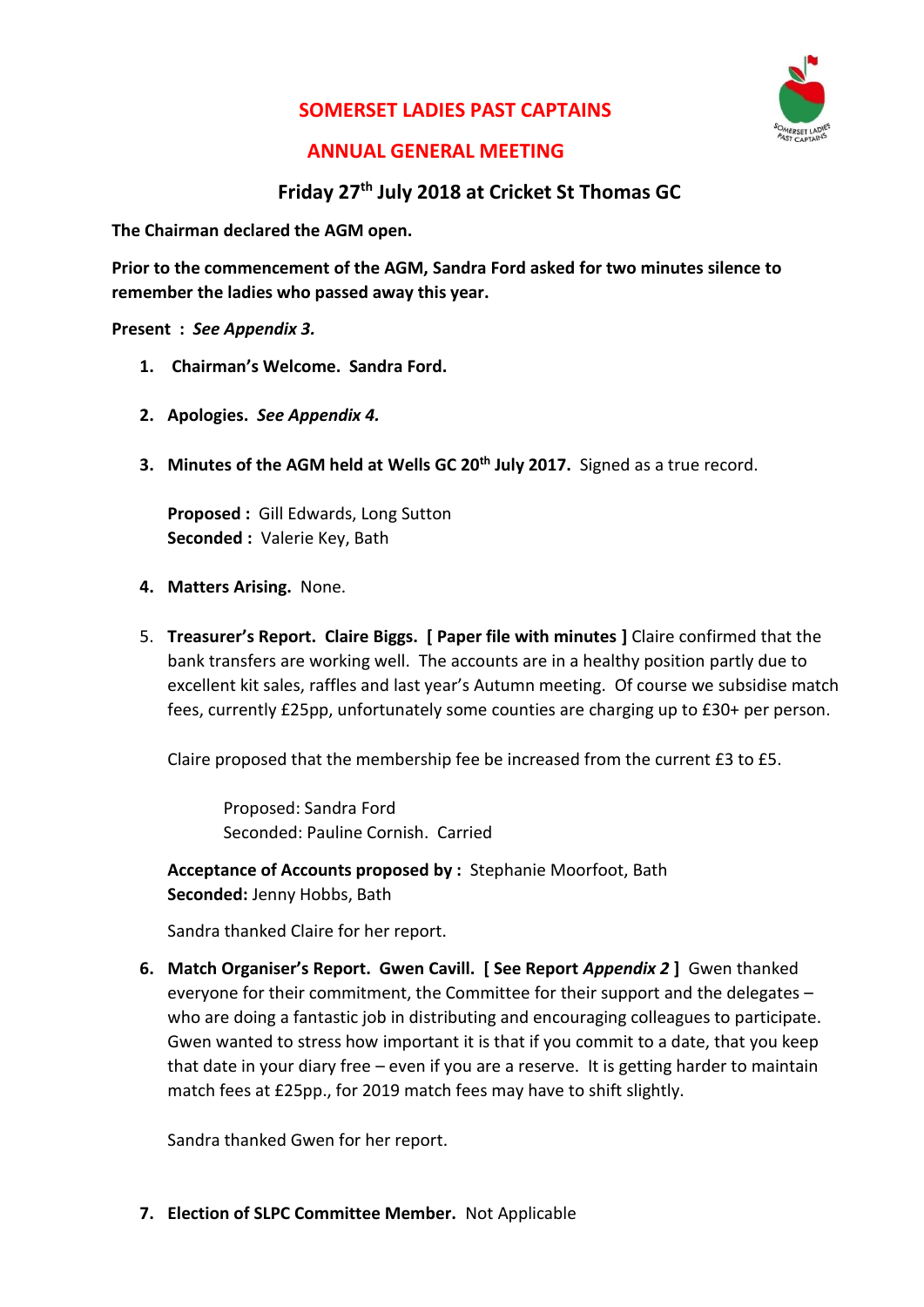### **SOMERSET LADIES PAST CAPTAINS**



### **ANNUAL GENERAL MEETING**

### **Friday 27th July 2018 at Cricket St Thomas GC**

**The Chairman declared the AGM open.**

**Prior to the commencement of the AGM, Sandra Ford asked for two minutes silence to remember the ladies who passed away this year.** 

#### **Present :** *See Appendix 3.*

- **1. Chairman's Welcome. Sandra Ford.**
- **2. Apologies.** *See Appendix 4.*
- **3. Minutes of the AGM held at Wells GC 20th July 2017.** Signed as a true record.

**Proposed :** Gill Edwards, Long Sutton **Seconded :** Valerie Key, Bath

- **4. Matters Arising.** None.
- 5. **Treasurer's Report. Claire Biggs. [ Paper file with minutes ]** Claire confirmed that the bank transfers are working well. The accounts are in a healthy position partly due to excellent kit sales, raffles and last year's Autumn meeting. Of course we subsidise match fees, currently £25pp, unfortunately some counties are charging up to £30+ per person.

Claire proposed that the membership fee be increased from the current £3 to £5.

Proposed: Sandra Ford Seconded: Pauline Cornish. Carried

**Acceptance of Accounts proposed by :** Stephanie Moorfoot, Bath **Seconded:** Jenny Hobbs, Bath

Sandra thanked Claire for her report.

**6. Match Organiser's Report. Gwen Cavill. [ See Report** *Appendix 2* **]** Gwen thanked everyone for their commitment, the Committee for their support and the delegates – who are doing a fantastic job in distributing and encouraging colleagues to participate. Gwen wanted to stress how important it is that if you commit to a date, that you keep that date in your diary free – even if you are a reserve. It is getting harder to maintain match fees at £25pp., for 2019 match fees may have to shift slightly.

Sandra thanked Gwen for her report.

**7. Election of SLPC Committee Member.** Not Applicable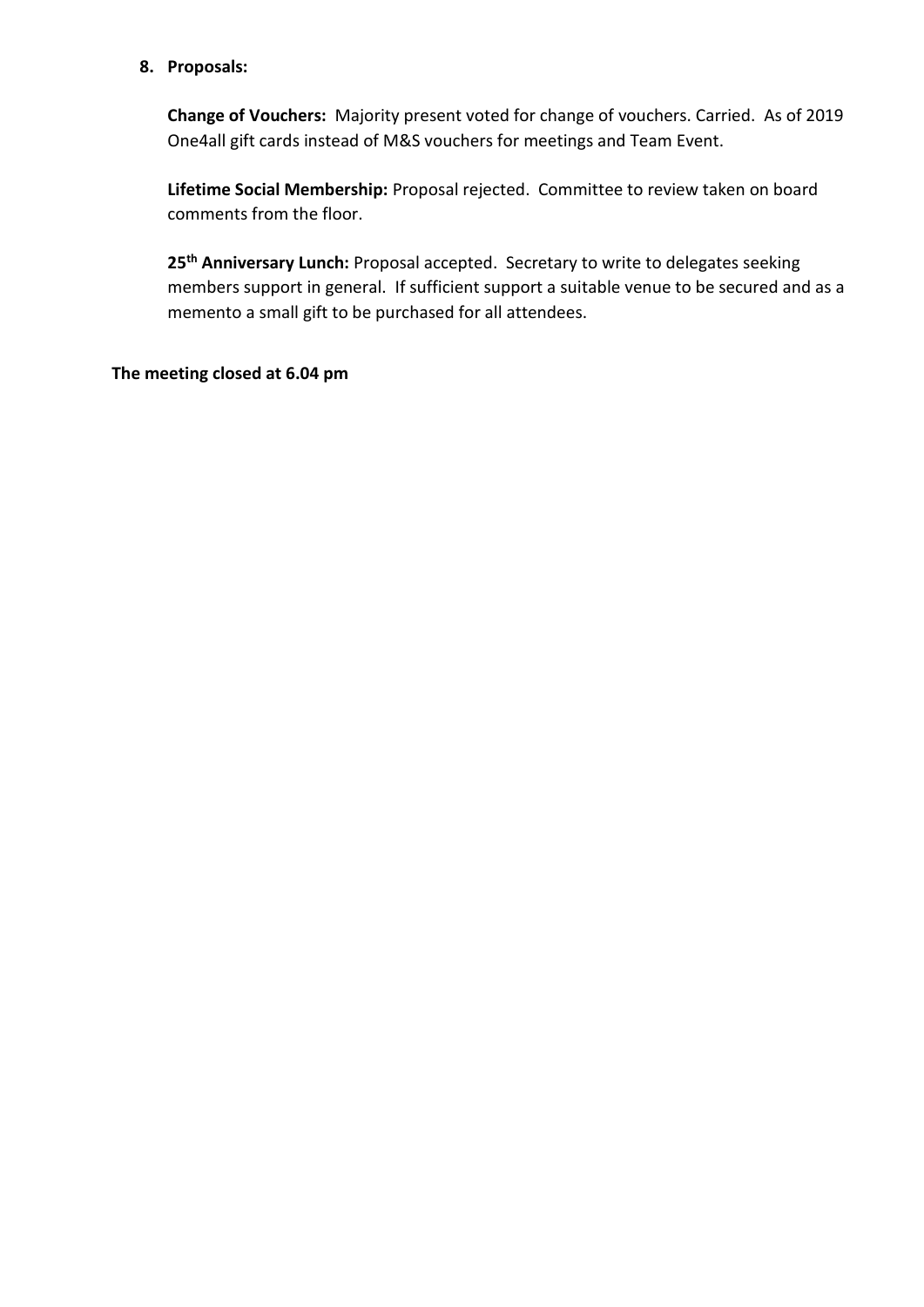#### **8. Proposals:**

**Change of Vouchers:** Majority present voted for change of vouchers. Carried. As of 2019 One4all gift cards instead of M&S vouchers for meetings and Team Event.

**Lifetime Social Membership:** Proposal rejected. Committee to review taken on board comments from the floor.

**25th Anniversary Lunch:** Proposal accepted. Secretary to write to delegates seeking members support in general. If sufficient support a suitable venue to be secured and as a memento a small gift to be purchased for all attendees.

#### **The meeting closed at 6.04 pm**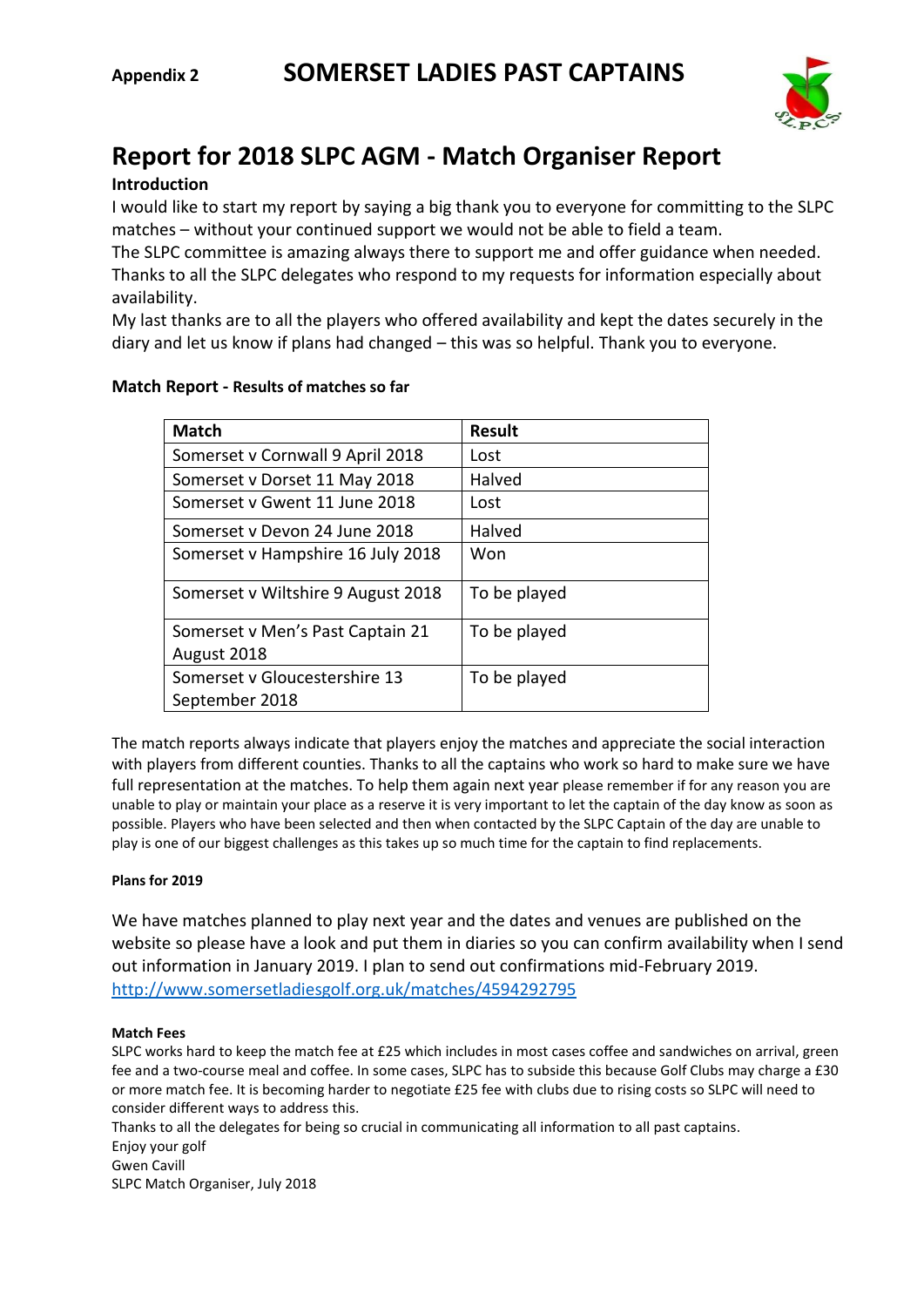

# **Report for 2018 SLPC AGM - Match Organiser Report**

#### **Introduction**

I would like to start my report by saying a big thank you to everyone for committing to the SLPC matches – without your continued support we would not be able to field a team.

The SLPC committee is amazing always there to support me and offer guidance when needed. Thanks to all the SLPC delegates who respond to my requests for information especially about availability.

My last thanks are to all the players who offered availability and kept the dates securely in the diary and let us know if plans had changed – this was so helpful. Thank you to everyone.

### **Match Report - Results of matches so far**

| <b>Match</b>                       | Result       |
|------------------------------------|--------------|
| Somerset v Cornwall 9 April 2018   | Lost         |
| Somerset v Dorset 11 May 2018      | Halved       |
| Somerset y Gwent 11 June 2018      | Lost         |
| Somerset y Devon 24 June 2018      | Halved       |
| Somerset v Hampshire 16 July 2018  | Won          |
| Somerset v Wiltshire 9 August 2018 | To be played |
| Somerset v Men's Past Captain 21   | To be played |
| August 2018                        |              |
| Somerset v Gloucestershire 13      | To be played |
| September 2018                     |              |

The match reports always indicate that players enjoy the matches and appreciate the social interaction with players from different counties. Thanks to all the captains who work so hard to make sure we have full representation at the matches. To help them again next year please remember if for any reason you are unable to play or maintain your place as a reserve it is very important to let the captain of the day know as soon as possible. Players who have been selected and then when contacted by the SLPC Captain of the day are unable to play is one of our biggest challenges as this takes up so much time for the captain to find replacements.

#### **Plans for 2019**

We have matches planned to play next year and the dates and venues are published on the website so please have a look and put them in diaries so you can confirm availability when I send out information in January 2019. I plan to send out confirmations mid-February 2019. <http://www.somersetladiesgolf.org.uk/matches/4594292795>

#### **Match Fees**

SLPC works hard to keep the match fee at £25 which includes in most cases coffee and sandwiches on arrival, green fee and a two-course meal and coffee. In some cases, SLPC has to subside this because Golf Clubs may charge a £30 or more match fee. It is becoming harder to negotiate £25 fee with clubs due to rising costs so SLPC will need to consider different ways to address this.

Thanks to all the delegates for being so crucial in communicating all information to all past captains. Enjoy your golf Gwen Cavill SLPC Match Organiser, July 2018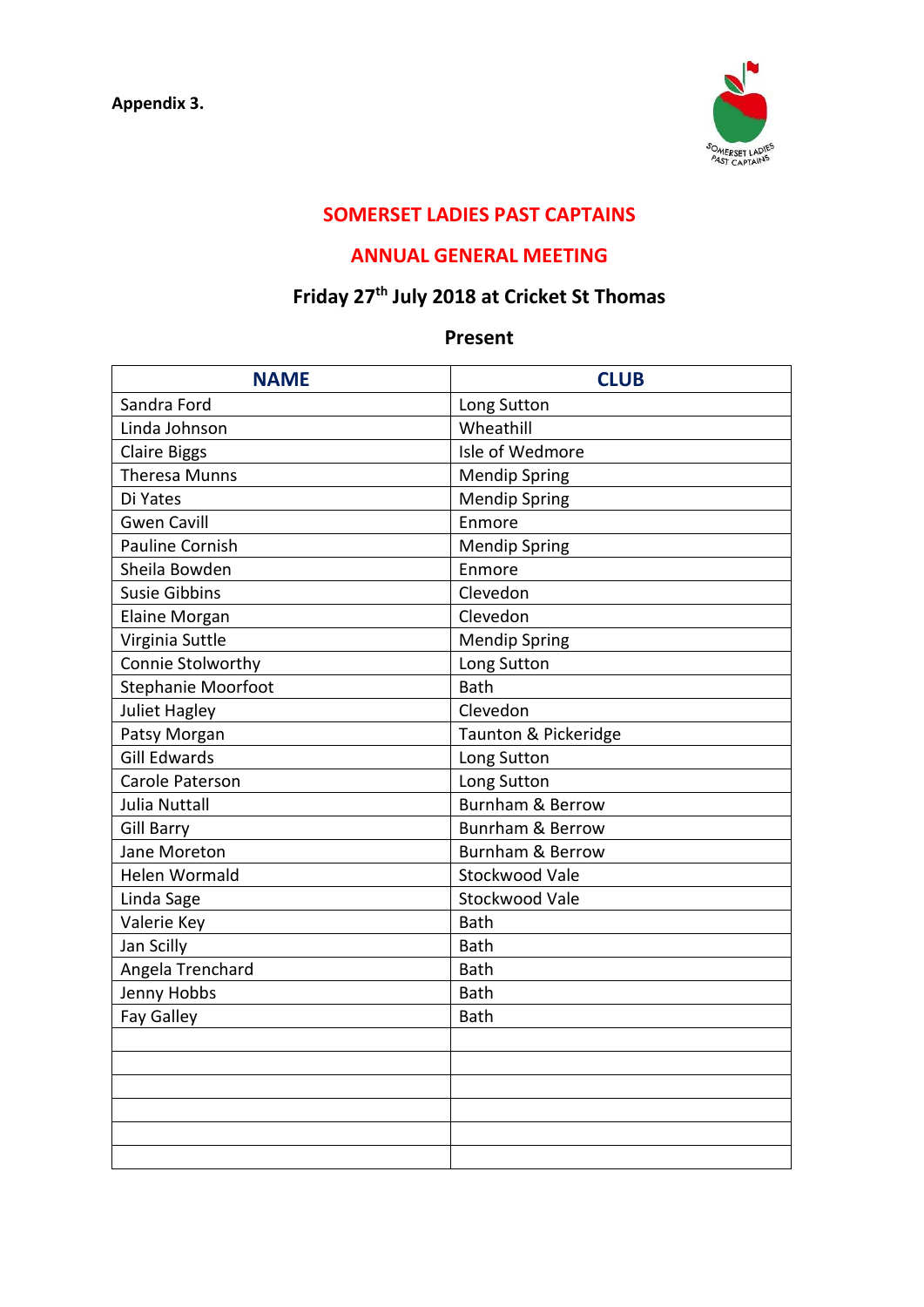

## **SOMERSET LADIES PAST CAPTAINS**

### **ANNUAL GENERAL MEETING**

## **Friday 27th July 2018 at Cricket St Thomas**

### **Present**

| <b>NAME</b>            | <b>CLUB</b>                 |
|------------------------|-----------------------------|
| Sandra Ford            | Long Sutton                 |
| Linda Johnson          | Wheathill                   |
| <b>Claire Biggs</b>    | Isle of Wedmore             |
| <b>Theresa Munns</b>   | <b>Mendip Spring</b>        |
| Di Yates               | <b>Mendip Spring</b>        |
| <b>Gwen Cavill</b>     | Enmore                      |
| <b>Pauline Cornish</b> | <b>Mendip Spring</b>        |
| Sheila Bowden          | Enmore                      |
| <b>Susie Gibbins</b>   | Clevedon                    |
| <b>Elaine Morgan</b>   | Clevedon                    |
| Virginia Suttle        | <b>Mendip Spring</b>        |
| Connie Stolworthy      | Long Sutton                 |
| Stephanie Moorfoot     | <b>Bath</b>                 |
| <b>Juliet Hagley</b>   | Clevedon                    |
| Patsy Morgan           | Taunton & Pickeridge        |
| <b>Gill Edwards</b>    | Long Sutton                 |
| Carole Paterson        | Long Sutton                 |
| <b>Julia Nuttall</b>   | <b>Burnham &amp; Berrow</b> |
| <b>Gill Barry</b>      | <b>Bunrham &amp; Berrow</b> |
| Jane Moreton           | <b>Burnham &amp; Berrow</b> |
| <b>Helen Wormald</b>   | Stockwood Vale              |
| Linda Sage             | Stockwood Vale              |
| Valerie Key            | <b>Bath</b>                 |
| Jan Scilly             | Bath                        |
| Angela Trenchard       | <b>Bath</b>                 |
| Jenny Hobbs            | <b>Bath</b>                 |
| <b>Fay Galley</b>      | <b>Bath</b>                 |
|                        |                             |
|                        |                             |
|                        |                             |
|                        |                             |
|                        |                             |
|                        |                             |